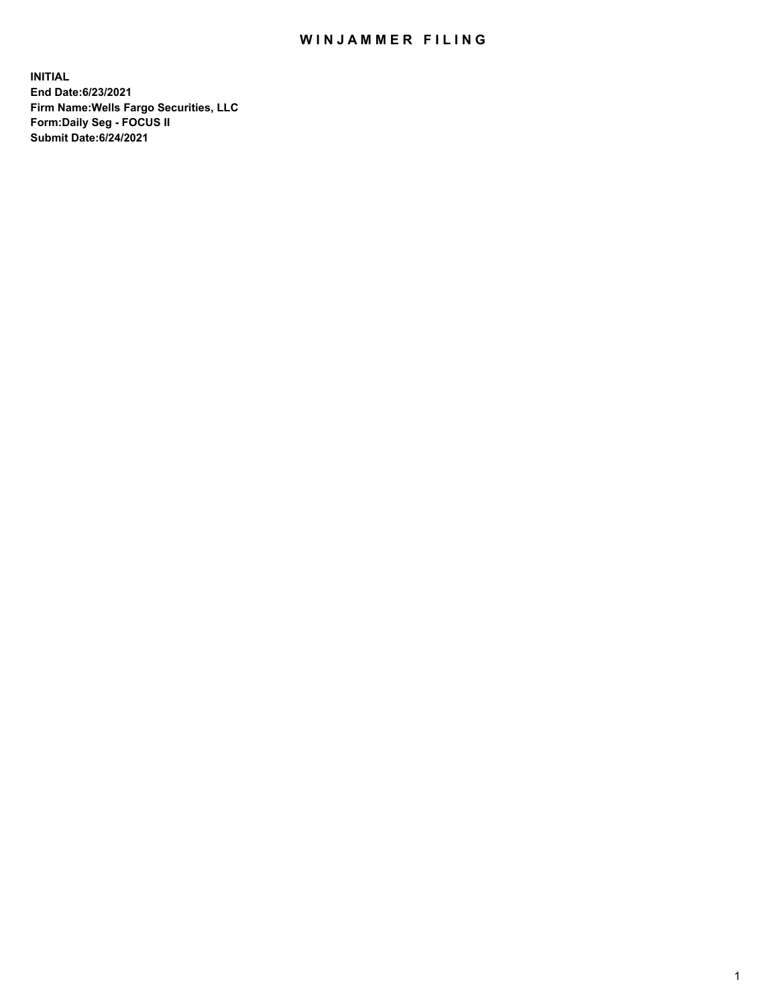## WIN JAMMER FILING

**INITIAL End Date:6/23/2021 Firm Name:Wells Fargo Securities, LLC Form:Daily Seg - FOCUS II Submit Date:6/24/2021**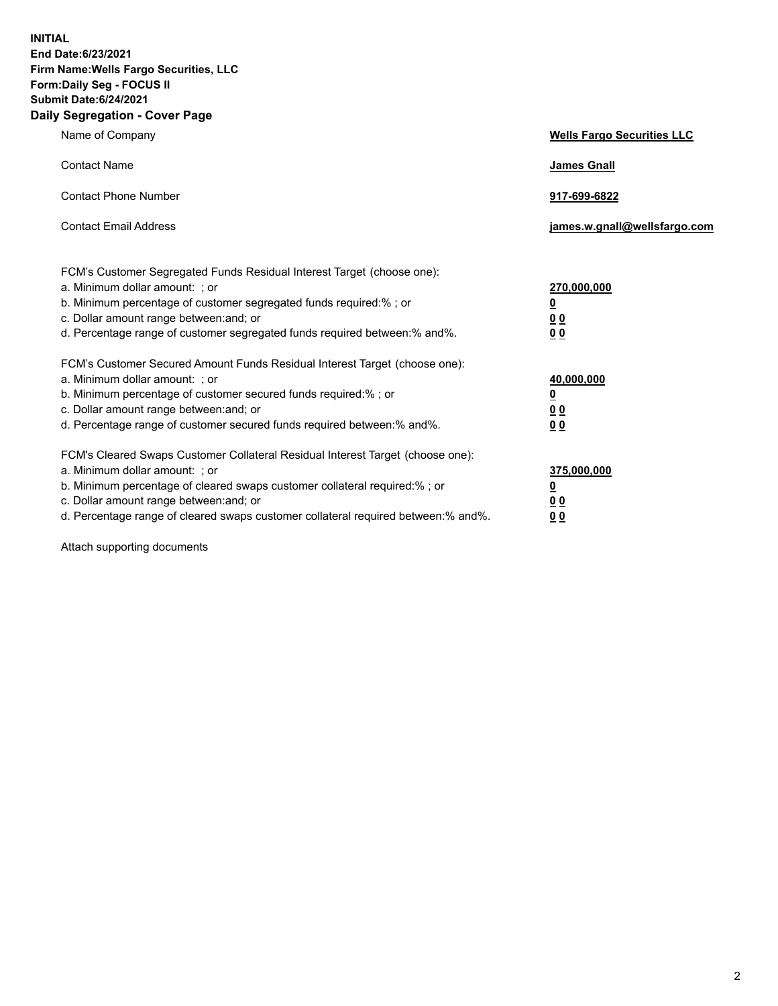**INITIAL End Date:6/23/2021 Firm Name:Wells Fargo Securities, LLC Form:Daily Seg - FOCUS II Submit Date:6/24/2021 Daily Segregation - Cover Page**

| Name of Company                                                                                                                                                                                                                                                                                                               | <b>Wells Fargo Securities LLC</b>                          |
|-------------------------------------------------------------------------------------------------------------------------------------------------------------------------------------------------------------------------------------------------------------------------------------------------------------------------------|------------------------------------------------------------|
| <b>Contact Name</b>                                                                                                                                                                                                                                                                                                           | <b>James Gnall</b>                                         |
| <b>Contact Phone Number</b>                                                                                                                                                                                                                                                                                                   | 917-699-6822                                               |
| <b>Contact Email Address</b>                                                                                                                                                                                                                                                                                                  | james.w.gnall@wellsfargo.com                               |
| FCM's Customer Segregated Funds Residual Interest Target (choose one):<br>a. Minimum dollar amount: ; or<br>b. Minimum percentage of customer segregated funds required:% ; or<br>c. Dollar amount range between: and; or<br>d. Percentage range of customer segregated funds required between:% and%.                        | 270,000,000<br><u>0</u><br>0 <sub>0</sub><br>00            |
| FCM's Customer Secured Amount Funds Residual Interest Target (choose one):<br>a. Minimum dollar amount: ; or<br>b. Minimum percentage of customer secured funds required:%; or<br>c. Dollar amount range between: and; or<br>d. Percentage range of customer secured funds required between: % and %.                         | 40,000,000<br><u>0</u><br>0 <sub>0</sub><br>0 <sub>0</sub> |
| FCM's Cleared Swaps Customer Collateral Residual Interest Target (choose one):<br>a. Minimum dollar amount: ; or<br>b. Minimum percentage of cleared swaps customer collateral required:%; or<br>c. Dollar amount range between: and; or<br>d. Percentage range of cleared swaps customer collateral required between:% and%. | 375,000,000<br><u>0</u><br>00<br>00                        |

Attach supporting documents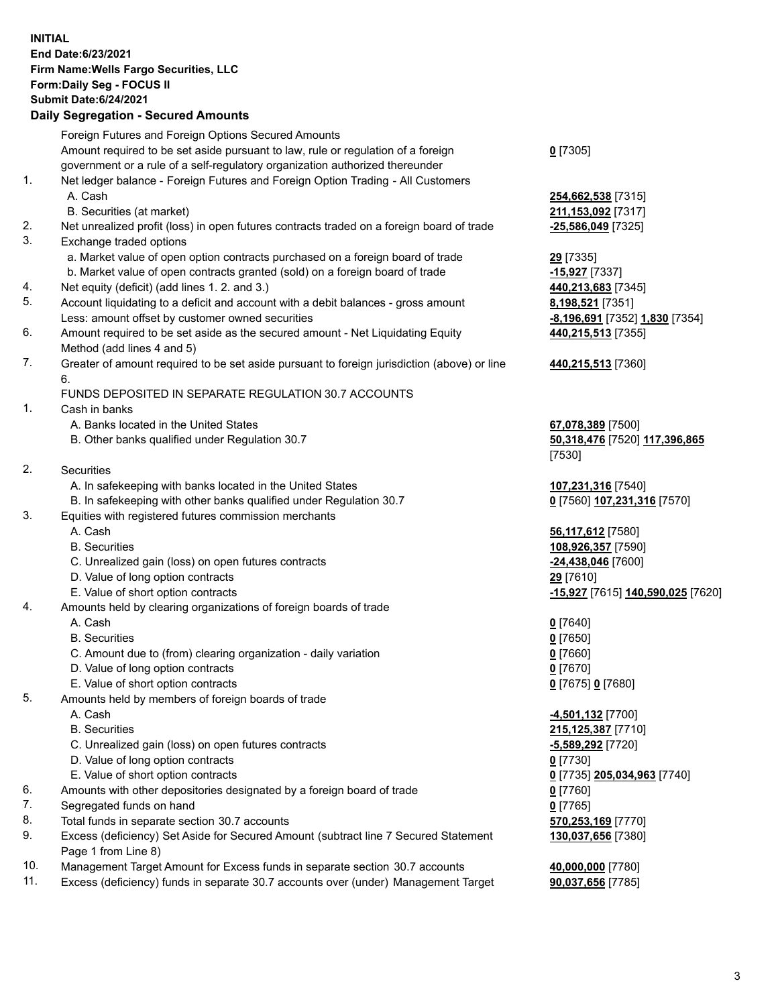**INITIAL End Date:6/23/2021 Firm Name:Wells Fargo Securities, LLC Form:Daily Seg - FOCUS II Submit Date:6/24/2021**

## **Daily Segregation - Secured Amounts**

|          | Foreign Futures and Foreign Options Secured Amounts                                                |                                                |
|----------|----------------------------------------------------------------------------------------------------|------------------------------------------------|
|          | Amount required to be set aside pursuant to law, rule or regulation of a foreign                   | $0$ [7305]                                     |
|          | government or a rule of a self-regulatory organization authorized thereunder                       |                                                |
| 1.       | Net ledger balance - Foreign Futures and Foreign Option Trading - All Customers                    |                                                |
|          | A. Cash                                                                                            | 254,662,538 [7315]                             |
|          | B. Securities (at market)                                                                          | 211,153,092 [7317]                             |
| 2.       | Net unrealized profit (loss) in open futures contracts traded on a foreign board of trade          | -25,586,049 [7325]                             |
| 3.       | Exchange traded options                                                                            |                                                |
|          | a. Market value of open option contracts purchased on a foreign board of trade                     | 29 [7335]                                      |
|          | b. Market value of open contracts granted (sold) on a foreign board of trade                       | -15,927 [7337]                                 |
| 4.       | Net equity (deficit) (add lines 1. 2. and 3.)                                                      | 440,213,683 [7345]                             |
| 5.       | Account liquidating to a deficit and account with a debit balances - gross amount                  | 8,198,521 [7351]                               |
|          | Less: amount offset by customer owned securities                                                   | -8,196,691 [7352] 1,830 [7354]                 |
| 6.       | Amount required to be set aside as the secured amount - Net Liquidating Equity                     | 440,215,513 [7355]                             |
|          | Method (add lines 4 and 5)                                                                         |                                                |
| 7.       | Greater of amount required to be set aside pursuant to foreign jurisdiction (above) or line        | 440,215,513 [7360]                             |
|          | 6.                                                                                                 |                                                |
|          | FUNDS DEPOSITED IN SEPARATE REGULATION 30.7 ACCOUNTS                                               |                                                |
| 1.       | Cash in banks                                                                                      |                                                |
|          | A. Banks located in the United States                                                              | 67,078,389 [7500]                              |
|          | B. Other banks qualified under Regulation 30.7                                                     | 50,318,476 [7520] 117,396,865                  |
|          |                                                                                                    | [7530]                                         |
| 2.       | Securities                                                                                         |                                                |
|          | A. In safekeeping with banks located in the United States                                          | 107,231,316 [7540]                             |
|          | B. In safekeeping with other banks qualified under Regulation 30.7                                 | 0 [7560] 107,231,316 [7570]                    |
| 3.       | Equities with registered futures commission merchants                                              |                                                |
|          | A. Cash                                                                                            | 56,117,612 [7580]                              |
|          | <b>B.</b> Securities                                                                               | 108,926,357 [7590]                             |
|          | C. Unrealized gain (loss) on open futures contracts                                                | -24,438,046 [7600]                             |
|          | D. Value of long option contracts                                                                  | 29 [7610]                                      |
|          | E. Value of short option contracts                                                                 | <mark>-15,927</mark> [7615] 140,590,025 [7620] |
| 4.       | Amounts held by clearing organizations of foreign boards of trade                                  |                                                |
|          | A. Cash                                                                                            | $0$ [7640]                                     |
|          | <b>B.</b> Securities                                                                               | $0$ [7650]                                     |
|          | C. Amount due to (from) clearing organization - daily variation                                    | $0$ [7660]                                     |
|          | D. Value of long option contracts                                                                  | $0$ [7670]                                     |
|          | E. Value of short option contracts                                                                 | 0 [7675] 0 [7680]                              |
| 5.       | Amounts held by members of foreign boards of trade                                                 |                                                |
|          | A. Cash                                                                                            | 4,501,132 [7700]                               |
|          | <b>B.</b> Securities                                                                               | 215,125,387 [7710]                             |
|          | C. Unrealized gain (loss) on open futures contracts                                                | -5,589,292 [7720]                              |
|          | D. Value of long option contracts                                                                  | $0$ [7730]                                     |
|          | E. Value of short option contracts                                                                 | 0 [7735] 205,034,963 [7740]                    |
| 6.<br>7. | Amounts with other depositories designated by a foreign board of trade<br>Segregated funds on hand | $0$ [7760]<br>$0$ [7765]                       |
| 8.       | Total funds in separate section 30.7 accounts                                                      | 570,253,169 [7770]                             |
| 9.       | Excess (deficiency) Set Aside for Secured Amount (subtract line 7 Secured Statement                | 130,037,656 [7380]                             |
|          | Page 1 from Line 8)                                                                                |                                                |
|          |                                                                                                    |                                                |

- 10. Management Target Amount for Excess funds in separate section 30.7 accounts **40,000,000** [7780]
- 11. Excess (deficiency) funds in separate 30.7 accounts over (under) Management Target **90,037,656** [7785]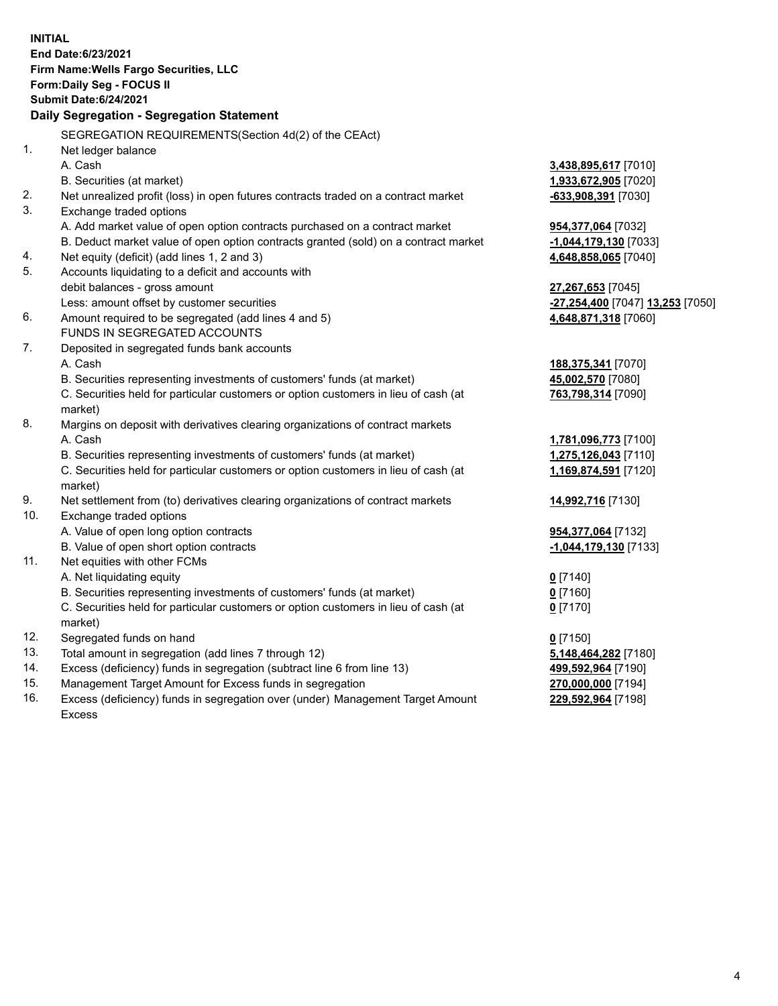**INITIAL End Date:6/23/2021 Firm Name:Wells Fargo Securities, LLC Form:Daily Seg - FOCUS II Submit Date:6/24/2021 Daily Segregation - Segregation Statement** SEGREGATION REQUIREMENTS(Section 4d(2) of the CEAct) 1. Net ledger balance A. Cash **3,438,895,617** [7010] B. Securities (at market) **1,933,672,905** [7020] 2. Net unrealized profit (loss) in open futures contracts traded on a contract market **-633,908,391** [7030] 3. Exchange traded options A. Add market value of open option contracts purchased on a contract market **954,377,064** [7032] B. Deduct market value of open option contracts granted (sold) on a contract market **-1,044,179,130** [7033] 4. Net equity (deficit) (add lines 1, 2 and 3) **4,648,858,065** [7040] 5. Accounts liquidating to a deficit and accounts with debit balances - gross amount **27,267,653** [7045] Less: amount offset by customer securities **-27,254,400** [7047] **13,253** [7050] 6. Amount required to be segregated (add lines 4 and 5) **4,648,871,318** [7060] FUNDS IN SEGREGATED ACCOUNTS 7. Deposited in segregated funds bank accounts A. Cash **188,375,341** [7070] B. Securities representing investments of customers' funds (at market) **45,002,570** [7080] C. Securities held for particular customers or option customers in lieu of cash (at market) **763,798,314** [7090] 8. Margins on deposit with derivatives clearing organizations of contract markets A. Cash **1,781,096,773** [7100] B. Securities representing investments of customers' funds (at market) **1,275,126,043** [7110] C. Securities held for particular customers or option customers in lieu of cash (at market) **1,169,874,591** [7120] 9. Net settlement from (to) derivatives clearing organizations of contract markets **14,992,716** [7130] 10. Exchange traded options A. Value of open long option contracts **954,377,064** [7132] B. Value of open short option contracts **-1,044,179,130** [7133] 11. Net equities with other FCMs A. Net liquidating equity **0** [7140] B. Securities representing investments of customers' funds (at market) **0** [7160] C. Securities held for particular customers or option customers in lieu of cash (at market) **0** [7170] 12. Segregated funds on hand **0** [7150] 13. Total amount in segregation (add lines 7 through 12) **5,148,464,282** [7180] 14. Excess (deficiency) funds in segregation (subtract line 6 from line 13) **499,592,964** [7190] 15. Management Target Amount for Excess funds in segregation **270,000,000** [7194] **229,592,964** [7198]

16. Excess (deficiency) funds in segregation over (under) Management Target Amount Excess